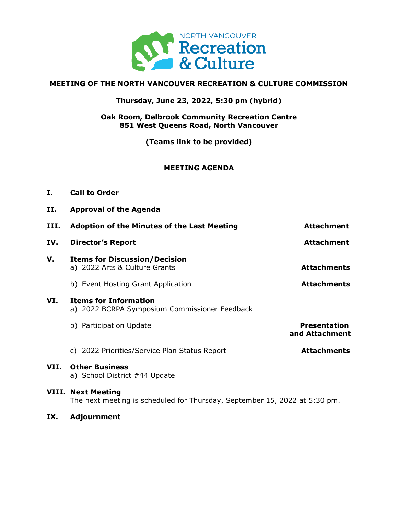

# **MEETING OF THE NORTH VANCOUVER RECREATION & CULTURE COMMISSION**

**Thursday, June 23, 2022, 5:30 pm (hybrid)**

**Oak Room, Delbrook Community Recreation Centre 851 West Queens Road, North Vancouver**

**(Teams link to be provided)**

# **MEETING AGENDA**

- **I. Call to Order**
- **II. Approval of the Agenda**

| III. | <b>Adoption of the Minutes of the Last Meeting</b>                            | <b>Attachment</b>                     |
|------|-------------------------------------------------------------------------------|---------------------------------------|
| IV.  | <b>Director's Report</b>                                                      | <b>Attachment</b>                     |
| v.   | <b>Items for Discussion/Decision</b><br>a) 2022 Arts & Culture Grants         | <b>Attachments</b>                    |
|      | b) Event Hosting Grant Application                                            | <b>Attachments</b>                    |
| VI.  | <b>Items for Information</b><br>a) 2022 BCRPA Symposium Commissioner Feedback |                                       |
|      | b) Participation Update                                                       | <b>Presentation</b><br>and Attachment |
|      | c) 2022 Priorities/Service Plan Status Report                                 | <b>Attachments</b>                    |
| VII. | <b>Other Business</b><br>a) School District #44 Update                        |                                       |
|      | <b>VIII. Next Meeting</b>                                                     |                                       |

The next meeting is scheduled for Thursday, September 15, 2022 at 5:30 pm.

**IX. Adjournment**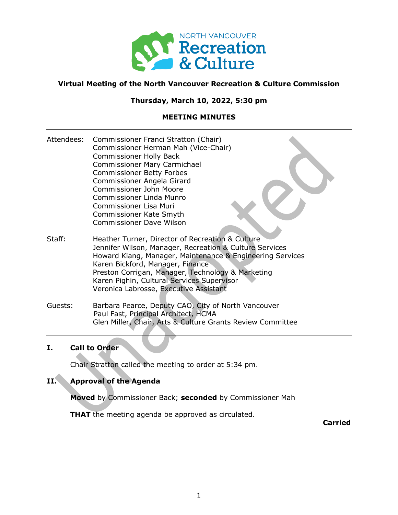

# **Virtual Meeting of the North Vancouver Recreation & Culture Commission**

# **Thursday, March 10, 2022, 5:30 pm**

# **MEETING MINUTES**

- Attendees: Commissioner Franci Stratton (Chair) Commissioner Herman Mah (Vice-Chair) Commissioner Holly Back Commissioner Mary Carmichael Commissioner Betty Forbes Commissioner Angela Girard Commissioner John Moore Commissioner Linda Munro Commissioner Lisa Muri Commissioner Kate Smyth Commissioner Dave Wilson
- Staff: Heather Turner, Director of Recreation & Culture Jennifer Wilson, Manager, Recreation & Culture Services Howard Kiang, Manager, Maintenance & Engineering Services Karen Bickford, Manager, Finance Preston Corrigan, Manager, Technology & Marketing Karen Pighin, Cultural Services Supervisor Veronica Labrosse, Executive Assistant
- Guests: Barbara Pearce, Deputy CAO, City of North Vancouver Paul Fast, Principal Architect, HCMA Glen Miller, Chair, Arts & Culture Grants Review Committee

# **I. Call to Order**

Chair Stratton called the meeting to order at 5:34 pm.

# **II. Approval of the Agenda**

**Moved** by Commissioner Back; **seconded** by Commissioner Mah

**THAT** the meeting agenda be approved as circulated.

**Carried**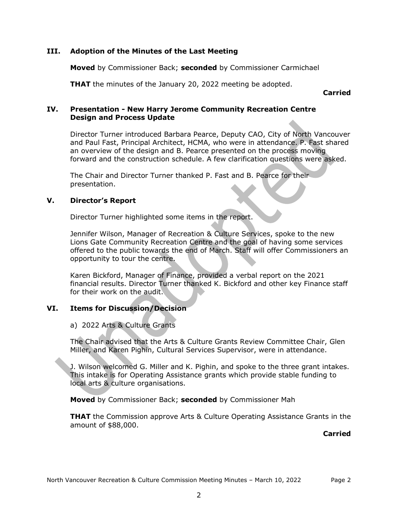# **III. Adoption of the Minutes of the Last Meeting**

**Moved** by Commissioner Back; **seconded** by Commissioner Carmichael

**THAT** the minutes of the January 20, 2022 meeting be adopted.

**Carried**

# **IV. Presentation - New Harry Jerome Community Recreation Centre Design and Process Update**

Director Turner introduced Barbara Pearce, Deputy CAO, City of North Vancouver and Paul Fast, Principal Architect, HCMA, who were in attendance. P. Fast shared an overview of the design and B. Pearce presented on the process moving forward and the construction schedule. A few clarification questions were asked.

The Chair and Director Turner thanked P. Fast and B. Pearce for their presentation.

# **V. Director's Report**

Director Turner highlighted some items in the report.

Jennifer Wilson, Manager of Recreation & Culture Services, spoke to the new Lions Gate Community Recreation Centre and the goal of having some services offered to the public towards the end of March. Staff will offer Commissioners an opportunity to tour the centre.

Karen Bickford, Manager of Finance, provided a verbal report on the 2021 financial results. Director Turner thanked K. Bickford and other key Finance staff for their work on the audit.

# **VI. Items for Discussion/Decision**

# a) 2022 Arts & Culture Grants

The Chair advised that the Arts & Culture Grants Review Committee Chair, Glen Miller, and Karen Pighin, Cultural Services Supervisor, were in attendance.

J. Wilson welcomed G. Miller and K. Pighin, and spoke to the three grant intakes. This intake is for Operating Assistance grants which provide stable funding to local arts & culture organisations.

**Moved** by Commissioner Back; **seconded** by Commissioner Mah

**THAT** the Commission approve Arts & Culture Operating Assistance Grants in the amount of \$88,000.

**Carried**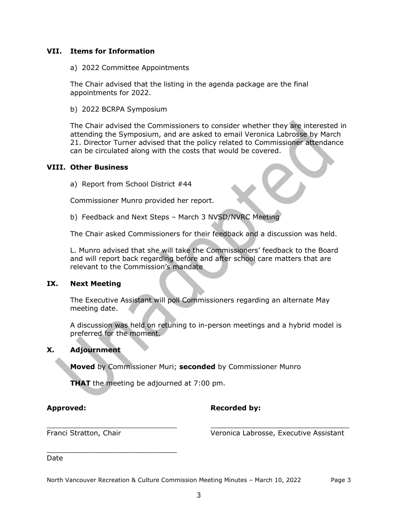# **VII. Items for Information**

a) 2022 Committee Appointments

The Chair advised that the listing in the agenda package are the final appointments for 2022.

b) 2022 BCRPA Symposium

The Chair advised the Commissioners to consider whether they are interested in attending the Symposium, and are asked to email Veronica Labrosse by March 21. Director Turner advised that the policy related to Commissioner attendance can be circulated along with the costs that would be covered.

## **VIII. Other Business**

a) Report from School District #44

Commissioner Munro provided her report.

b) Feedback and Next Steps – March 3 NVSD/NVRC Meeting

The Chair asked Commissioners for their feedback and a discussion was held.

L. Munro advised that she will take the Commissioners' feedback to the Board and will report back regarding before and after school care matters that are relevant to the Commission's mandate

# **IX. Next Meeting**

The Executive Assistant will poll Commissioners regarding an alternate May meeting date.

A discussion was held on retuning to in-person meetings and a hybrid model is preferred for the moment.

# **X. Adjournment**

**Moved** by Commissioner Muri; **seconded** by Commissioner Munro

**THAT** the meeting be adjourned at 7:00 pm.

# Approved: **Recorded by: Recorded by:**

\_\_\_\_\_\_\_\_\_\_\_\_\_\_\_\_\_\_\_\_\_\_\_\_\_\_\_\_\_\_

\_\_\_\_\_\_\_\_\_\_\_\_\_\_\_\_\_\_\_\_\_\_\_\_\_\_\_\_\_\_ \_\_\_\_\_\_\_\_\_\_\_\_\_\_\_\_\_\_\_\_\_\_\_\_\_\_\_\_\_\_\_\_ Franci Stratton, Chair Veronica Labrosse, Executive Assistant

Date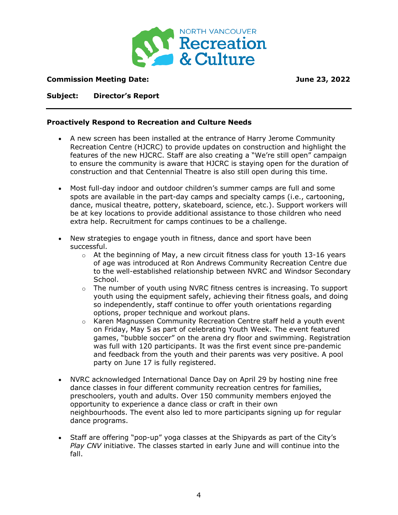

# **Commission Meeting Date: June 23, 2022**

# **Subject: Director's Report**

# **Proactively Respond to Recreation and Culture Needs**

- A new screen has been installed at the entrance of Harry Jerome Community Recreation Centre (HJCRC) to provide updates on construction and highlight the features of the new HJCRC. Staff are also creating a "We're still open" campaign to ensure the community is aware that HJCRC is staying open for the duration of construction and that Centennial Theatre is also still open during this time.
- Most full-day indoor and outdoor children's summer camps are full and some spots are available in the part-day camps and specialty camps (i.e., cartooning, dance, musical theatre, pottery, skateboard, science, etc.). Support workers will be at key locations to provide additional assistance to those children who need extra help. Recruitment for camps continues to be a challenge.
- New strategies to engage youth in fitness, dance and sport have been successful.
	- $\circ$  At the beginning of May, a new circuit fitness class for youth 13-16 years of age was introduced at Ron Andrews Community Recreation Centre due to the well-established relationship between NVRC and Windsor Secondary School.
	- $\circ$  The number of youth using NVRC fitness centres is increasing. To support youth using the equipment safely, achieving their fitness goals, and doing so independently, staff continue to offer youth orientations regarding options, proper technique and workout plans.
	- $\circ$  Karen Magnussen Community Recreation Centre staff held a youth event on Friday, May 5 as part of celebrating Youth Week. The event featured games, "bubble soccer" on the arena dry floor and swimming. Registration was full with 120 participants. It was the first event since pre-pandemic and feedback from the youth and their parents was very positive. A pool party on June 17 is fully registered.
- NVRC acknowledged International Dance Day on April 29 by hosting nine free dance classes in four different community recreation centres for families, preschoolers, youth and adults. Over 150 community members enjoyed the opportunity to experience a dance class or craft in their own neighbourhoods. The event also led to more participants signing up for regular dance programs.
- Staff are offering "pop-up" yoga classes at the Shipyards as part of the City's *Play CNV* initiative. The classes started in early June and will continue into the fall.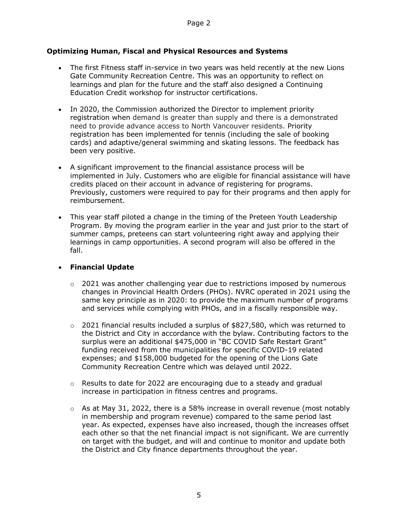# **Optimizing Human, Fiscal and Physical Resources and Systems**

- The first Fitness staff in-service in two years was held recently at the new Lions Gate Community Recreation Centre. This was an opportunity to reflect on learnings and plan for the future and the staff also designed a Continuing Education Credit workshop for instructor certifications.
- In 2020, the Commission authorized the Director to implement priority registration when demand is greater than supply and there is a demonstrated need to provide advance access to North Vancouver residents. Priority registration has been implemented for tennis (including the sale of booking cards) and adaptive/general swimming and skating lessons. The feedback has been very positive.
- A significant improvement to the financial assistance process will be implemented in July. Customers who are eligible for financial assistance will have credits placed on their account in advance of registering for programs. Previously, customers were required to pay for their programs and then apply for reimbursement.
- This year staff piloted a change in the timing of the Preteen Youth Leadership Program. By moving the program earlier in the year and just prior to the start of summer camps, preteens can start volunteering right away and applying their learnings in camp opportunities. A second program will also be offered in the fall.

# • **Financial Update**

- $\circ$  2021 was another challenging year due to restrictions imposed by numerous changes in Provincial Health Orders (PHOs). NVRC operated in 2021 using the same key principle as in 2020: to provide the maximum number of programs and services while complying with PHOs, and in a fiscally responsible way.
- $\circ$  2021 financial results included a surplus of \$827,580, which was returned to the District and City in accordance with the bylaw. Contributing factors to the surplus were an additional \$475,000 in "BC COVID Safe Restart Grant" funding received from the municipalities for specific COVID-19 related expenses; and \$158,000 budgeted for the opening of the Lions Gate Community Recreation Centre which was delayed until 2022.
- $\circ$  Results to date for 2022 are encouraging due to a steady and gradual increase in participation in fitness centres and programs.
- $\circ$  As at May 31, 2022, there is a 58% increase in overall revenue (most notably in membership and program revenue) compared to the same period last year. As expected, expenses have also increased, though the increases offset each other so that the net financial impact is not significant. We are currently on target with the budget, and will and continue to monitor and update both the District and City finance departments throughout the year.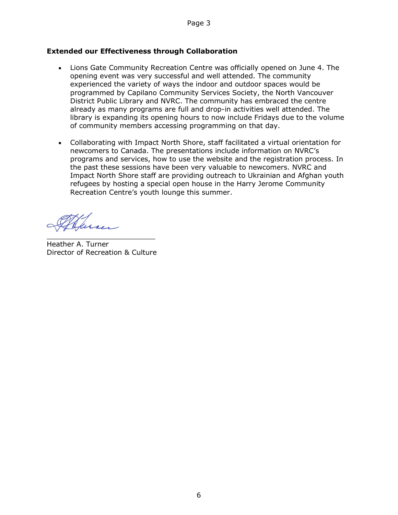# **Extended our Effectiveness through Collaboration**

- Lions Gate Community Recreation Centre was officially opened on June 4. The opening event was very successful and well attended. The community experienced the variety of ways the indoor and outdoor spaces would be programmed by Capilano Community Services Society, the North Vancouver District Public Library and NVRC. The community has embraced the centre already as many programs are full and drop-in activities well attended. The library is expanding its opening hours to now include Fridays due to the volume of community members accessing programming on that day.
- Collaborating with Impact North Shore, staff facilitated a virtual orientation for newcomers to Canada. The presentations include information on NVRC's programs and services, how to use the website and the registration process. In the past these sessions have been very valuable to newcomers. NVRC and Impact North Shore staff are providing outreach to Ukrainian and Afghan youth refugees by hosting a special open house in the Harry Jerome Community Recreation Centre's youth lounge this summer.

kures-

\_\_\_\_\_\_\_\_\_\_\_\_\_\_\_\_\_\_\_\_\_\_\_\_\_ Heather A. Turner Director of Recreation & Culture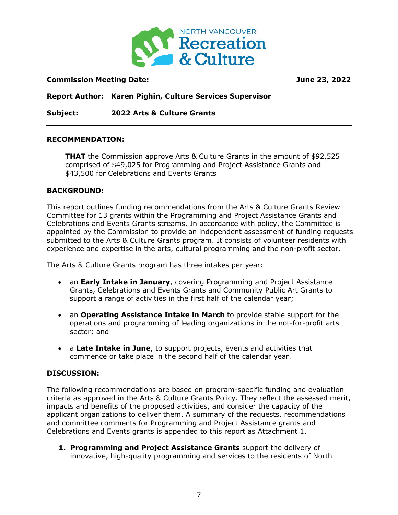

# **Commission Meeting Date: June 23, 2022**

**Report Author: Karen Pighin, Culture Services Supervisor**

**Subject: 2022 Arts & Culture Grants**

## **RECOMMENDATION:**

**THAT** the Commission approve Arts & Culture Grants in the amount of \$92,525 comprised of \$49,025 for Programming and Project Assistance Grants and \$43,500 for Celebrations and Events Grants

## **BACKGROUND:**

This report outlines funding recommendations from the Arts & Culture Grants Review Committee for 13 grants within the Programming and Project Assistance Grants and Celebrations and Events Grants streams. In accordance with policy, the Committee is appointed by the Commission to provide an independent assessment of funding requests submitted to the Arts & Culture Grants program. It consists of volunteer residents with experience and expertise in the arts, cultural programming and the non-profit sector.

The Arts & Culture Grants program has three intakes per year:

- an **Early Intake in January**, covering Programming and Project Assistance Grants, Celebrations and Events Grants and Community Public Art Grants to support a range of activities in the first half of the calendar year;
- an **Operating Assistance Intake in March** to provide stable support for the operations and programming of leading organizations in the not-for-profit arts sector; and
- a **Late Intake in June**, to support projects, events and activities that commence or take place in the second half of the calendar year.

# **DISCUSSION:**

The following recommendations are based on program-specific funding and evaluation criteria as approved in the Arts & Culture Grants Policy. They reflect the assessed merit, impacts and benefits of the proposed activities, and consider the capacity of the applicant organizations to deliver them. A summary of the requests, recommendations and committee comments for Programming and Project Assistance grants and Celebrations and Events grants is appended to this report as Attachment 1.

**1. Programming and Project Assistance Grants** support the delivery of innovative, high-quality programming and services to the residents of North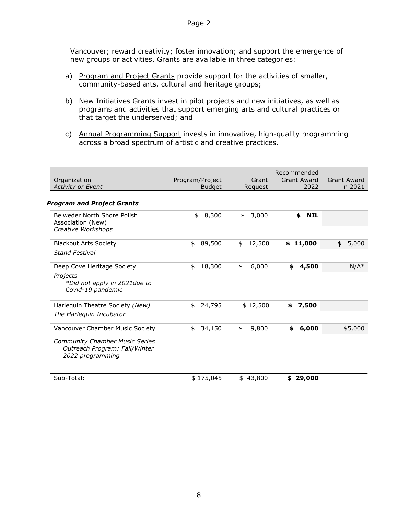Vancouver; reward creativity; foster innovation; and support the emergence of new groups or activities. Grants are available in three categories:

- a) Program and Project Grants provide support for the activities of smaller, community-based arts, cultural and heritage groups;
- b) New Initiatives Grants invest in pilot projects and new initiatives, as well as programs and activities that support emerging arts and cultural practices or that target the underserved; and
- c) Annual Programming Support invests in innovative, high-quality programming across a broad spectrum of artistic and creative practices.

| Organization<br><b>Activity or Event</b>                                                                                      | Program/Project<br><b>Budget</b> | Grant<br>Request | Recommended<br><b>Grant Award</b><br>2022 | Grant Award<br>in 2021 |
|-------------------------------------------------------------------------------------------------------------------------------|----------------------------------|------------------|-------------------------------------------|------------------------|
| <b>Program and Project Grants</b>                                                                                             |                                  |                  |                                           |                        |
| Belweder North Shore Polish<br>Association (New)<br>Creative Workshops                                                        | 8,300<br>\$                      | 3,000<br>\$      | <b>NIL</b><br>\$                          |                        |
| <b>Blackout Arts Society</b><br><b>Stand Festival</b>                                                                         | 89,500<br>\$                     | 12,500<br>\$     | 11,000<br>\$                              | 5,000<br>\$            |
| Deep Cove Heritage Society<br>Projects<br>*Did not apply in 2021due to<br>Covid-19 pandemic                                   | 18,300<br>\$                     | 6,000<br>\$      | 4,500<br>\$                               | $N/A^*$                |
| Harlequin Theatre Society (New)<br>The Harlequin Incubator                                                                    | \$<br>24,795                     | \$12,500         | 7,500<br>\$                               |                        |
| Vancouver Chamber Music Society<br><b>Community Chamber Music Series</b><br>Outreach Program: Fall/Winter<br>2022 programming | 34,150<br>\$                     | 9,800<br>\$      | 6,000<br>\$                               | \$5,000                |
| Sub-Total:                                                                                                                    | \$175,045                        | 43,800<br>\$     | 29,000<br>\$                              |                        |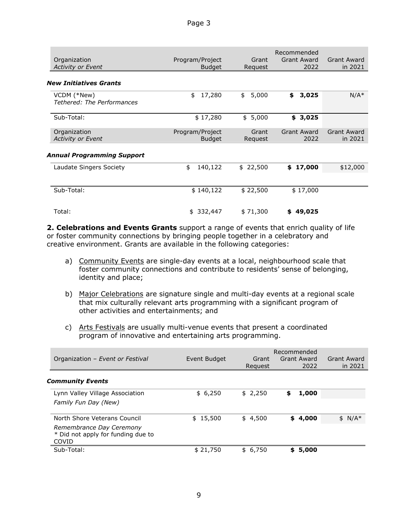| Organization<br><b>Activity or Event</b>  | Program/Project<br><b>Budget</b> | Grant<br>Request | Recommended<br><b>Grant Award</b><br>2022 | <b>Grant Award</b><br>in 2021 |
|-------------------------------------------|----------------------------------|------------------|-------------------------------------------|-------------------------------|
| New Initiatives Grants                    |                                  |                  |                                           |                               |
| VCDM (*New)<br>Tethered: The Performances | 17,280<br>\$                     | \$<br>5,000      | 3,025<br>\$                               | $N/A^*$                       |
| Sub-Total:                                | \$17,280                         | \$5,000          | \$3,025                                   |                               |
| Organization<br><b>Activity or Event</b>  | Program/Project<br><b>Budget</b> | Grant<br>Request | <b>Grant Award</b><br>2022                | <b>Grant Award</b><br>in 2021 |
| Annual Programming Support                |                                  |                  |                                           |                               |
| Laudate Singers Society                   | \$<br>140,122                    | \$22,500         | \$17,000                                  | \$12,000                      |
|                                           |                                  |                  |                                           |                               |
| Sub-Total:                                | \$140,122                        | \$22,500         | \$17,000                                  |                               |
| Total:                                    | 332,447<br>\$                    | \$71,300         | 49,025<br>\$                              |                               |

**2. Celebrations and Events Grants** support a range of events that enrich quality of life or foster community connections by bringing people together in a celebratory and creative environment. Grants are available in the following categories:

- a) Community Events are single-day events at a local, neighbourhood scale that foster community connections and contribute to residents' sense of belonging, identity and place;
- b) Major Celebrations are signature single and multi-day events at a regional scale that mix culturally relevant arts programming with a significant program of other activities and entertainments; and
- c) Arts Festivals are usually multi-venue events that present a coordinated program of innovative and entertaining arts programming.

| Organization - Event or Festival                                                                        | Event Budget | Grant<br>Reguest | Recommended<br>Grant Award<br>2022 | Grant Award<br>in 2021 |
|---------------------------------------------------------------------------------------------------------|--------------|------------------|------------------------------------|------------------------|
| <b>Community Events</b>                                                                                 |              |                  |                                    |                        |
| Lynn Valley Village Association<br>Family Fun Day (New)                                                 | \$6,250      | \$2,250          | \$<br>1,000                        |                        |
| North Shore Veterans Council<br>Remembrance Day Ceremony<br>* Did not apply for funding due to<br>COVID | \$15,500     | \$4,500          | \$4,000                            | $$ N/A*$               |
| Sub-Total:                                                                                              | \$21,750     | \$6,750          | 5,000<br>\$                        |                        |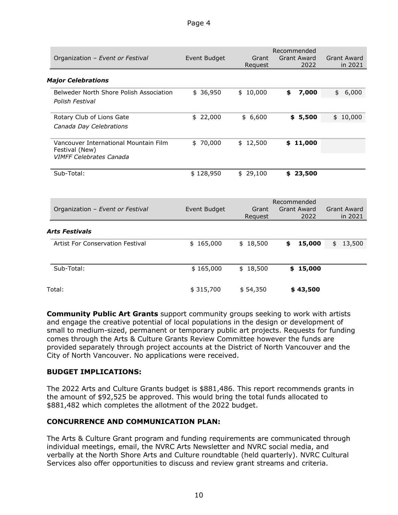|                                                  |              |                  | Recommended                |                    |
|--------------------------------------------------|--------------|------------------|----------------------------|--------------------|
| Organization - Event or Festival                 | Event Budget | Grant            | <b>Grant Award</b>         | <b>Grant Award</b> |
|                                                  |              | Request          | 2022                       | in 2021            |
| <b>Major Celebrations</b>                        |              |                  |                            |                    |
| Belweder North Shore Polish Association          | \$36,950     | \$10,000         | 7,000<br>\$                | 6,000<br>\$        |
| Polish Festival                                  |              |                  |                            |                    |
| Rotary Club of Lions Gate                        | \$22,000     | \$6,600          | \$5,500                    | \$10,000           |
| Canada Day Celebrations                          |              |                  |                            |                    |
| Vancouver International Mountain Film            | \$70,000     | \$12,500         | \$11,000                   |                    |
| Festival (New)<br><b>VIMFF Celebrates Canada</b> |              |                  |                            |                    |
|                                                  |              |                  |                            |                    |
| Sub-Total:                                       | \$128,950    | \$29,100         | \$23,500                   |                    |
|                                                  |              |                  |                            |                    |
|                                                  |              |                  |                            |                    |
|                                                  |              |                  | Recommended                | <b>Grant Award</b> |
| Organization - Event or Festival                 | Event Budget | Grant<br>Request | <b>Grant Award</b><br>2022 | in 2021            |
|                                                  |              |                  |                            |                    |
| <b>Arts Festivals</b>                            |              |                  |                            |                    |
| Artist For Conservation Festival                 | \$165,000    | \$18,500         | 15,000<br>\$               | 13,500<br>\$       |
|                                                  |              |                  |                            |                    |
| Sub-Total:                                       | \$165,000    | \$18,500         | \$15,000                   |                    |
| Total:                                           | \$315,700    | \$54,350         | \$43,500                   |                    |
|                                                  |              |                  |                            |                    |

**Community Public Art Grants** support community groups seeking to work with artists and engage the creative potential of local populations in the design or development of small to medium-sized, permanent or temporary public art projects. Requests for funding comes through the Arts & Culture Grants Review Committee however the funds are provided separately through project accounts at the District of North Vancouver and the City of North Vancouver. No applications were received.

# **BUDGET IMPLICATIONS:**

The 2022 Arts and Culture Grants budget is \$881,486. This report recommends grants in the amount of \$92,525 be approved. This would bring the total funds allocated to \$881,482 which completes the allotment of the 2022 budget.

# **CONCURRENCE AND COMMUNICATION PLAN:**

The Arts & Culture Grant program and funding requirements are communicated through individual meetings, email, the NVRC Arts Newsletter and NVRC social media, and verbally at the North Shore Arts and Culture roundtable (held quarterly). NVRC Cultural Services also offer opportunities to discuss and review grant streams and criteria.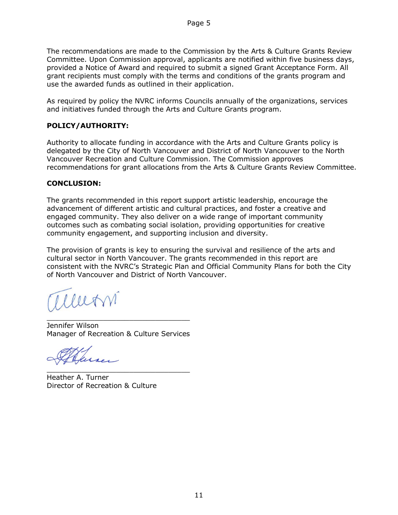The recommendations are made to the Commission by the Arts & Culture Grants Review Committee. Upon Commission approval, applicants are notified within five business days, provided a Notice of Award and required to submit a signed Grant Acceptance Form. All grant recipients must comply with the terms and conditions of the grants program and use the awarded funds as outlined in their application.

As required by policy the NVRC informs Councils annually of the organizations, services and initiatives funded through the Arts and Culture Grants program.

# **POLICY/AUTHORITY:**

Authority to allocate funding in accordance with the Arts and Culture Grants policy is delegated by the City of North Vancouver and District of North Vancouver to the North Vancouver Recreation and Culture Commission. The Commission approves recommendations for grant allocations from the Arts & Culture Grants Review Committee.

# **CONCLUSION:**

The grants recommended in this report support artistic leadership, encourage the advancement of different artistic and cultural practices, and foster a creative and engaged community. They also deliver on a wide range of important community outcomes such as combating social isolation, providing opportunities for creative community engagement, and supporting inclusion and diversity.

The provision of grants is key to ensuring the survival and resilience of the arts and cultural sector in North Vancouver. The grants recommended in this report are consistent with the NVRC's Strategic Plan and Official Community Plans for both the City of North Vancouver and District of North Vancouver.

allern

\_\_\_\_\_\_\_\_\_\_\_\_\_\_\_\_\_\_\_\_\_\_\_\_\_\_\_\_\_\_\_\_\_ Jennifer Wilson Manager of Recreation & Culture Services

\_\_\_\_\_\_\_\_\_\_\_\_\_\_\_\_\_\_\_\_\_\_\_\_\_\_\_\_\_\_\_\_\_

Heather A. Turner Director of Recreation & Culture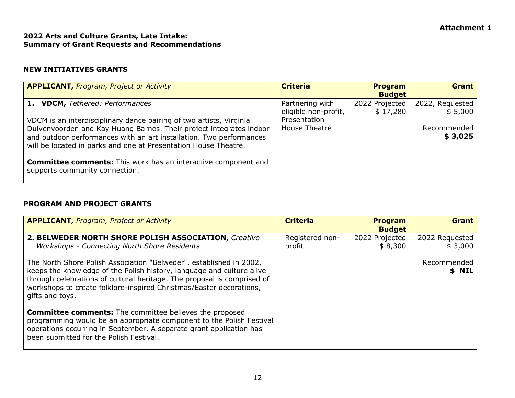# **Attachment 1**

# **2022 Arts and Culture Grants, Late Intake: Summary of Grant Requests and Recommendations**

# **NEW INITIATIVES GRANTS**

| <b>APPLICANT, Program, Project or Activity</b>                                                                                                                                                                                                                                       | <b>Criteria</b>                         | <b>Program</b><br><b>Budget</b> | <b>Grant</b>               |
|--------------------------------------------------------------------------------------------------------------------------------------------------------------------------------------------------------------------------------------------------------------------------------------|-----------------------------------------|---------------------------------|----------------------------|
| 1. VDCM, Tethered: Performances                                                                                                                                                                                                                                                      | Partnering with<br>eligible non-profit, | 2022 Projected<br>\$17,280      | 2022, Requested<br>\$5,000 |
| VDCM is an interdisciplinary dance pairing of two artists, Virginia<br>Duivenvoorden and Kay Huang Barnes. Their project integrates indoor<br>and outdoor performances with an art installation. Two performances<br>will be located in parks and one at Presentation House Theatre. | Presentation<br>House Theatre           |                                 | Recommended<br>\$3,025     |
| <b>Committee comments:</b> This work has an interactive component and<br>supports community connection.                                                                                                                                                                              |                                         |                                 |                            |

# **PROGRAM AND PROJECT GRANTS**

| <b>APPLICANT, Program, Project or Activity</b>                                                                                                                                                                                                                                                                    | <b>Criteria</b>           | <b>Program</b><br><b>Budget</b> | <b>Grant</b>              |
|-------------------------------------------------------------------------------------------------------------------------------------------------------------------------------------------------------------------------------------------------------------------------------------------------------------------|---------------------------|---------------------------------|---------------------------|
| 2. BELWEDER NORTH SHORE POLISH ASSOCIATION, Creative<br><b>Workshops - Connecting North Shore Residents</b>                                                                                                                                                                                                       | Registered non-<br>profit | 2022 Projected<br>\$8,300       | 2022 Requested<br>\$3,000 |
| The North Shore Polish Association "Belweder", established in 2002,<br>keeps the knowledge of the Polish history, language and culture alive<br>through celebrations of cultural heritage. The proposal is comprised of<br>workshops to create folklore-inspired Christmas/Easter decorations,<br>gifts and toys. |                           |                                 | Recommended<br>\$ NIL     |
| <b>Committee comments:</b> The committee believes the proposed<br>programming would be an appropriate component to the Polish Festival<br>operations occurring in September. A separate grant application has<br>been submitted for the Polish Festival.                                                          |                           |                                 |                           |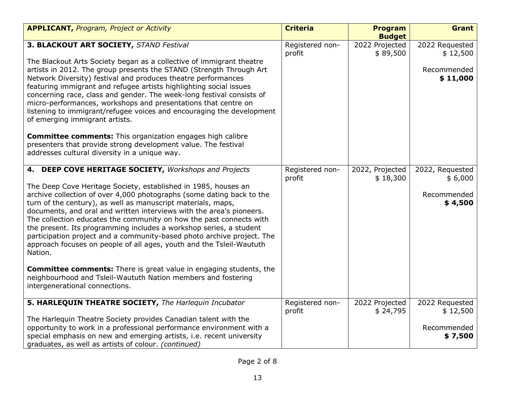| <b>APPLICANT, Program, Project or Activity</b>                                  | <b>Criteria</b> | <b>Program</b>  | Grant           |
|---------------------------------------------------------------------------------|-----------------|-----------------|-----------------|
|                                                                                 |                 | <b>Budget</b>   |                 |
| 3. BLACKOUT ART SOCIETY, STAND Festival                                         | Registered non- | 2022 Projected  | 2022 Requested  |
| The Blackout Arts Society began as a collective of immigrant theatre            | profit          | \$89,500        | \$12,500        |
| artists in 2012. The group presents the STAND (Strength Through Art             |                 |                 | Recommended     |
| Network Diversity) festival and produces theatre performances                   |                 |                 | \$11,000        |
| featuring immigrant and refugee artists highlighting social issues              |                 |                 |                 |
| concerning race, class and gender. The week-long festival consists of           |                 |                 |                 |
| micro-performances, workshops and presentations that centre on                  |                 |                 |                 |
| listening to immigrant/refugee voices and encouraging the development           |                 |                 |                 |
| of emerging immigrant artists.                                                  |                 |                 |                 |
| <b>Committee comments:</b> This organization engages high calibre               |                 |                 |                 |
| presenters that provide strong development value. The festival                  |                 |                 |                 |
| addresses cultural diversity in a unique way.                                   |                 |                 |                 |
|                                                                                 |                 |                 |                 |
| 4. DEEP COVE HERITAGE SOCIETY, Workshops and Projects                           | Registered non- | 2022, Projected | 2022, Requested |
| The Deep Cove Heritage Society, established in 1985, houses an                  | profit          | \$18,300        | \$6,000         |
| archive collection of over 4,000 photographs (some dating back to the           |                 |                 | Recommended     |
| turn of the century), as well as manuscript materials, maps,                    |                 |                 | \$4,500         |
| documents, and oral and written interviews with the area's pioneers.            |                 |                 |                 |
| The collection educates the community on how the past connects with             |                 |                 |                 |
| the present. Its programming includes a workshop series, a student              |                 |                 |                 |
| participation project and a community-based photo archive project. The          |                 |                 |                 |
| approach focuses on people of all ages, youth and the Tsleil-Waututh<br>Nation. |                 |                 |                 |
|                                                                                 |                 |                 |                 |
| <b>Committee comments:</b> There is great value in engaging students, the       |                 |                 |                 |
| neighbourhood and Tsleil-Waututh Nation members and fostering                   |                 |                 |                 |
| intergenerational connections.                                                  |                 |                 |                 |
| 5. HARLEQUIN THEATRE SOCIETY, The Harlequin Incubator                           | Registered non- | 2022 Projected  | 2022 Requested  |
|                                                                                 | profit          | \$24,795        | \$12,500        |
| The Harlequin Theatre Society provides Canadian talent with the                 |                 |                 |                 |
| opportunity to work in a professional performance environment with a            |                 |                 | Recommended     |
| special emphasis on new and emerging artists, i.e. recent university            |                 |                 | \$7,500         |
| graduates, as well as artists of colour. (continued)                            |                 |                 |                 |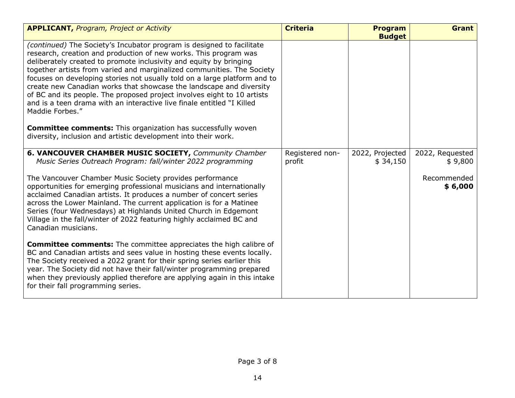| <b>APPLICANT, Program, Project or Activity</b>                                                                                                                                                                                                                                                                                                                                                                                                                                                                                                                                                                                                                                                                                                                        | <b>Criteria</b> | <b>Program</b><br><b>Budget</b> | <b>Grant</b>           |
|-----------------------------------------------------------------------------------------------------------------------------------------------------------------------------------------------------------------------------------------------------------------------------------------------------------------------------------------------------------------------------------------------------------------------------------------------------------------------------------------------------------------------------------------------------------------------------------------------------------------------------------------------------------------------------------------------------------------------------------------------------------------------|-----------------|---------------------------------|------------------------|
| <i>(continued)</i> The Society's Incubator program is designed to facilitate<br>research, creation and production of new works. This program was<br>deliberately created to promote inclusivity and equity by bringing<br>together artists from varied and marginalized communities. The Society<br>focuses on developing stories not usually told on a large platform and to<br>create new Canadian works that showcase the landscape and diversity<br>of BC and its people. The proposed project involves eight to 10 artists<br>and is a teen drama with an interactive live finale entitled "I Killed<br>Maddie Forbes."<br><b>Committee comments:</b> This organization has successfully woven<br>diversity, inclusion and artistic development into their work. |                 |                                 |                        |
| 6. VANCOUVER CHAMBER MUSIC SOCIETY, Community Chamber                                                                                                                                                                                                                                                                                                                                                                                                                                                                                                                                                                                                                                                                                                                 | Registered non- | 2022, Projected                 | 2022, Requested        |
| Music Series Outreach Program: fall/winter 2022 programming                                                                                                                                                                                                                                                                                                                                                                                                                                                                                                                                                                                                                                                                                                           | profit          | \$34,150                        | \$9,800                |
| The Vancouver Chamber Music Society provides performance<br>opportunities for emerging professional musicians and internationally<br>acclaimed Canadian artists. It produces a number of concert series<br>across the Lower Mainland. The current application is for a Matinee<br>Series (four Wednesdays) at Highlands United Church in Edgemont<br>Village in the fall/winter of 2022 featuring highly acclaimed BC and<br>Canadian musicians.                                                                                                                                                                                                                                                                                                                      |                 |                                 | Recommended<br>\$6,000 |
| <b>Committee comments:</b> The committee appreciates the high calibre of<br>BC and Canadian artists and sees value in hosting these events locally.<br>The Society received a 2022 grant for their spring series earlier this<br>year. The Society did not have their fall/winter programming prepared<br>when they previously applied therefore are applying again in this intake<br>for their fall programming series.                                                                                                                                                                                                                                                                                                                                              |                 |                                 |                        |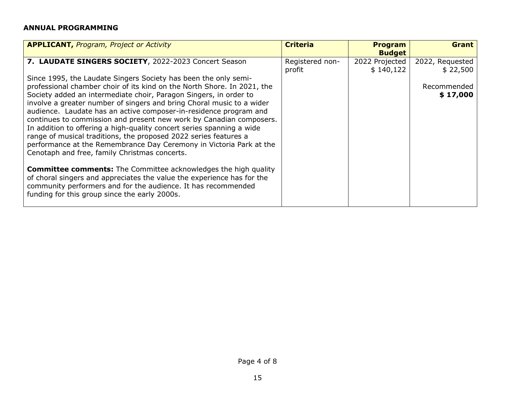# **ANNUAL PROGRAMMING**

| <b>APPLICANT, Program, Project or Activity</b>                                                                                                                                                                                                                                                                                                                                                                                                                                                                                                                                                                                                                                                            | <b>Criteria</b>           | <b>Program</b><br><b>Budget</b> | <b>Grant</b>                |
|-----------------------------------------------------------------------------------------------------------------------------------------------------------------------------------------------------------------------------------------------------------------------------------------------------------------------------------------------------------------------------------------------------------------------------------------------------------------------------------------------------------------------------------------------------------------------------------------------------------------------------------------------------------------------------------------------------------|---------------------------|---------------------------------|-----------------------------|
| 7. LAUDATE SINGERS SOCIETY, 2022-2023 Concert Season                                                                                                                                                                                                                                                                                                                                                                                                                                                                                                                                                                                                                                                      | Registered non-<br>profit | 2022 Projected<br>\$140,122     | 2022, Requested<br>\$22,500 |
| Since 1995, the Laudate Singers Society has been the only semi-<br>professional chamber choir of its kind on the North Shore. In 2021, the<br>Society added an intermediate choir, Paragon Singers, in order to<br>involve a greater number of singers and bring Choral music to a wider<br>audience. Laudate has an active composer-in-residence program and<br>continues to commission and present new work by Canadian composers.<br>In addition to offering a high-quality concert series spanning a wide<br>range of musical traditions, the proposed 2022 series features a<br>performance at the Remembrance Day Ceremony in Victoria Park at the<br>Cenotaph and free, family Christmas concerts. |                           |                                 | Recommended<br>\$17,000     |
| <b>Committee comments:</b> The Committee acknowledges the high quality<br>of choral singers and appreciates the value the experience has for the<br>community performers and for the audience. It has recommended<br>funding for this group since the early 2000s.                                                                                                                                                                                                                                                                                                                                                                                                                                        |                           |                                 |                             |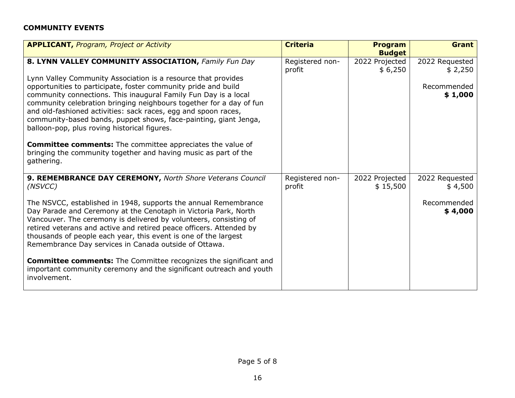# **COMMUNITY EVENTS**

| <b>APPLICANT, Program, Project or Activity</b>                                                                                                                                                                                                                                                                                                                                                                                                                                                                                                                                                                                                                                | <b>Criteria</b>           | <b>Program</b><br><b>Budget</b> | <b>Grant</b>                                        |
|-------------------------------------------------------------------------------------------------------------------------------------------------------------------------------------------------------------------------------------------------------------------------------------------------------------------------------------------------------------------------------------------------------------------------------------------------------------------------------------------------------------------------------------------------------------------------------------------------------------------------------------------------------------------------------|---------------------------|---------------------------------|-----------------------------------------------------|
| 8. LYNN VALLEY COMMUNITY ASSOCIATION, Family Fun Day<br>Lynn Valley Community Association is a resource that provides<br>opportunities to participate, foster community pride and build<br>community connections. This inaugural Family Fun Day is a local<br>community celebration bringing neighbours together for a day of fun<br>and old-fashioned activities: sack races, egg and spoon races,<br>community-based bands, puppet shows, face-painting, giant Jenga,<br>balloon-pop, plus roving historical figures.<br><b>Committee comments:</b> The committee appreciates the value of<br>bringing the community together and having music as part of the<br>gathering. | Registered non-<br>profit | 2022 Projected<br>\$6,250       | 2022 Requested<br>\$2,250<br>Recommended<br>\$1,000 |
| 9. REMEMBRANCE DAY CEREMONY, North Shore Veterans Council<br>(NSVCC)                                                                                                                                                                                                                                                                                                                                                                                                                                                                                                                                                                                                          | Registered non-<br>profit | 2022 Projected<br>\$15,500      | 2022 Requested<br>\$4,500                           |
| The NSVCC, established in 1948, supports the annual Remembrance<br>Day Parade and Ceremony at the Cenotaph in Victoria Park, North<br>Vancouver. The ceremony is delivered by volunteers, consisting of<br>retired veterans and active and retired peace officers. Attended by<br>thousands of people each year, this event is one of the largest<br>Remembrance Day services in Canada outside of Ottawa.                                                                                                                                                                                                                                                                    |                           |                                 | Recommended<br>\$4,000                              |
| <b>Committee comments:</b> The Committee recognizes the significant and<br>important community ceremony and the significant outreach and youth<br>involvement.                                                                                                                                                                                                                                                                                                                                                                                                                                                                                                                |                           |                                 |                                                     |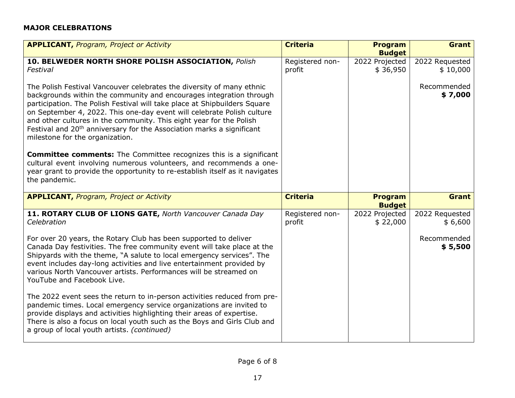# **MAJOR CELEBRATIONS**

| <b>APPLICANT, Program, Project or Activity</b>                                                                                                                                                                                                                                                                                                                                                                                                                                                                                                                                                                                                                                                                                                          | <b>Criteria</b>           | <b>Program</b><br><b>Budget</b> | <b>Grant</b>               |
|---------------------------------------------------------------------------------------------------------------------------------------------------------------------------------------------------------------------------------------------------------------------------------------------------------------------------------------------------------------------------------------------------------------------------------------------------------------------------------------------------------------------------------------------------------------------------------------------------------------------------------------------------------------------------------------------------------------------------------------------------------|---------------------------|---------------------------------|----------------------------|
| 10. BELWEDER NORTH SHORE POLISH ASSOCIATION, Polish<br>Festival                                                                                                                                                                                                                                                                                                                                                                                                                                                                                                                                                                                                                                                                                         | Registered non-<br>profit | 2022 Projected<br>\$36,950      | 2022 Requested<br>\$10,000 |
| The Polish Festival Vancouver celebrates the diversity of many ethnic<br>backgrounds within the community and encourages integration through<br>participation. The Polish Festival will take place at Shipbuilders Square<br>on September 4, 2022. This one-day event will celebrate Polish culture<br>and other cultures in the community. This eight year for the Polish<br>Festival and 20 <sup>th</sup> anniversary for the Association marks a significant<br>milestone for the organization.<br><b>Committee comments:</b> The Committee recognizes this is a significant<br>cultural event involving numerous volunteers, and recommends a one-<br>year grant to provide the opportunity to re-establish itself as it navigates<br>the pandemic. |                           |                                 | Recommended<br>\$7,000     |
| <b>APPLICANT, Program, Project or Activity</b>                                                                                                                                                                                                                                                                                                                                                                                                                                                                                                                                                                                                                                                                                                          | <b>Criteria</b>           | <b>Program</b><br><b>Budget</b> | <b>Grant</b>               |
| 11. ROTARY CLUB OF LIONS GATE, North Vancouver Canada Day<br>Celebration                                                                                                                                                                                                                                                                                                                                                                                                                                                                                                                                                                                                                                                                                | Registered non-<br>profit | 2022 Projected<br>\$22,000      | 2022 Requested<br>\$6,600  |
| For over 20 years, the Rotary Club has been supported to deliver<br>Canada Day festivities. The free community event will take place at the<br>Shipyards with the theme, "A salute to local emergency services". The<br>event includes day-long activities and live entertainment provided by                                                                                                                                                                                                                                                                                                                                                                                                                                                           |                           |                                 | Recommended<br>\$5,500     |
| various North Vancouver artists. Performances will be streamed on<br>YouTube and Facebook Live.                                                                                                                                                                                                                                                                                                                                                                                                                                                                                                                                                                                                                                                         |                           |                                 |                            |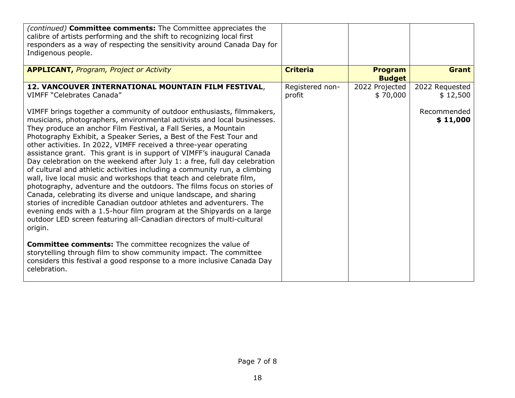| (continued) <b>Committee comments:</b> The Committee appreciates the<br>calibre of artists performing and the shift to recognizing local first<br>responders as a way of respecting the sensitivity around Canada Day for<br>Indigenous people.                                                                                                                                                                                                                                                                                                                                                                                                                                                                                                                                                                                                                                                                                                                                                                                                                                                                                                                                                                                                                                                 |                 |                                 |                         |
|-------------------------------------------------------------------------------------------------------------------------------------------------------------------------------------------------------------------------------------------------------------------------------------------------------------------------------------------------------------------------------------------------------------------------------------------------------------------------------------------------------------------------------------------------------------------------------------------------------------------------------------------------------------------------------------------------------------------------------------------------------------------------------------------------------------------------------------------------------------------------------------------------------------------------------------------------------------------------------------------------------------------------------------------------------------------------------------------------------------------------------------------------------------------------------------------------------------------------------------------------------------------------------------------------|-----------------|---------------------------------|-------------------------|
| <b>APPLICANT, Program, Project or Activity</b>                                                                                                                                                                                                                                                                                                                                                                                                                                                                                                                                                                                                                                                                                                                                                                                                                                                                                                                                                                                                                                                                                                                                                                                                                                                  | <b>Criteria</b> | <b>Program</b><br><b>Budget</b> | <b>Grant</b>            |
| 12. VANCOUVER INTERNATIONAL MOUNTAIN FILM FESTIVAL,                                                                                                                                                                                                                                                                                                                                                                                                                                                                                                                                                                                                                                                                                                                                                                                                                                                                                                                                                                                                                                                                                                                                                                                                                                             | Registered non- | 2022 Projected                  | 2022 Requested          |
| <b>VIMFF "Celebrates Canada"</b>                                                                                                                                                                                                                                                                                                                                                                                                                                                                                                                                                                                                                                                                                                                                                                                                                                                                                                                                                                                                                                                                                                                                                                                                                                                                | profit          | \$70,000                        | \$12,500                |
| VIMFF brings together a community of outdoor enthusiasts, filmmakers,<br>musicians, photographers, environmental activists and local businesses.<br>They produce an anchor Film Festival, a Fall Series, a Mountain<br>Photography Exhibit, a Speaker Series, a Best of the Fest Tour and<br>other activities. In 2022, VIMFF received a three-year operating<br>assistance grant. This grant is in support of VIMFF's inaugural Canada<br>Day celebration on the weekend after July 1: a free, full day celebration<br>of cultural and athletic activities including a community run, a climbing<br>wall, live local music and workshops that teach and celebrate film,<br>photography, adventure and the outdoors. The films focus on stories of<br>Canada, celebrating its diverse and unique landscape, and sharing<br>stories of incredible Canadian outdoor athletes and adventurers. The<br>evening ends with a 1.5-hour film program at the Shipyards on a large<br>outdoor LED screen featuring all-Canadian directors of multi-cultural<br>origin.<br><b>Committee comments:</b> The committee recognizes the value of<br>storytelling through film to show community impact. The committee<br>considers this festival a good response to a more inclusive Canada Day<br>celebration. |                 |                                 | Recommended<br>\$11,000 |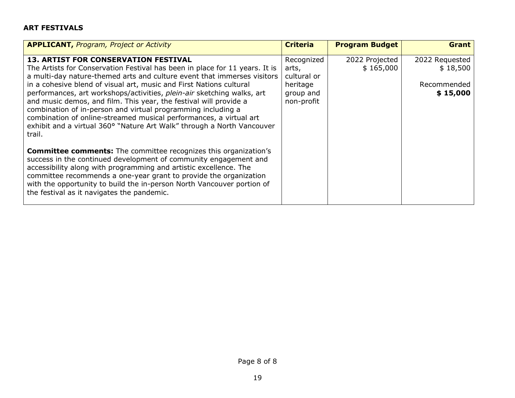# **ART FESTIVALS**

| <b>APPLICANT, Program, Project or Activity</b>                                                                                                                                                                                                                                                                                                                                                                                                                                                                                                                                                                                                        | <b>Criteria</b>                                                           | <b>Program Budget</b>       | <b>Grant</b>                                          |
|-------------------------------------------------------------------------------------------------------------------------------------------------------------------------------------------------------------------------------------------------------------------------------------------------------------------------------------------------------------------------------------------------------------------------------------------------------------------------------------------------------------------------------------------------------------------------------------------------------------------------------------------------------|---------------------------------------------------------------------------|-----------------------------|-------------------------------------------------------|
| <b>13. ARTIST FOR CONSERVATION FESTIVAL</b><br>The Artists for Conservation Festival has been in place for 11 years. It is<br>a multi-day nature-themed arts and culture event that immerses visitors<br>in a cohesive blend of visual art, music and First Nations cultural<br>performances, art workshops/activities, plein-air sketching walks, art<br>and music demos, and film. This year, the festival will provide a<br>combination of in-person and virtual programming including a<br>combination of online-streamed musical performances, a virtual art<br>exhibit and a virtual 360° "Nature Art Walk" through a North Vancouver<br>trail. | Recognized<br>arts,<br>cultural or<br>heritage<br>group and<br>non-profit | 2022 Projected<br>\$165,000 | 2022 Requested<br>\$18,500<br>Recommended<br>\$15,000 |
| <b>Committee comments:</b> The committee recognizes this organization's<br>success in the continued development of community engagement and<br>accessibility along with programming and artistic excellence. The<br>committee recommends a one-year grant to provide the organization<br>with the opportunity to build the in-person North Vancouver portion of<br>the festival as it navigates the pandemic.                                                                                                                                                                                                                                         |                                                                           |                             |                                                       |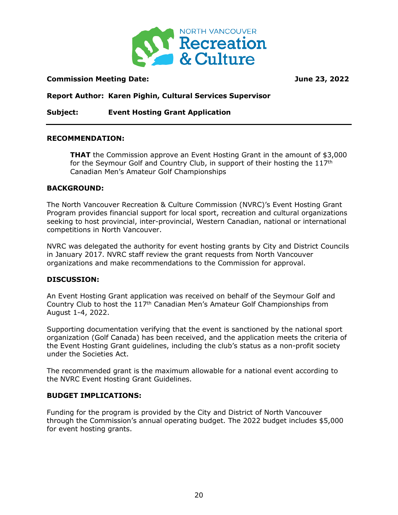

# **Commission Meeting Date: June 23, 2022**

**Report Author: Karen Pighin, Cultural Services Supervisor**

**Subject: Event Hosting Grant Application**

## **RECOMMENDATION:**

**THAT** the Commission approve an Event Hosting Grant in the amount of \$3,000 for the Seymour Golf and Country Club, in support of their hosting the  $117<sup>th</sup>$ Canadian Men's Amateur Golf Championships

## **BACKGROUND:**

The North Vancouver Recreation & Culture Commission (NVRC)'s Event Hosting Grant Program provides financial support for local sport, recreation and cultural organizations seeking to host provincial, inter-provincial, Western Canadian, national or international competitions in North Vancouver.

NVRC was delegated the authority for event hosting grants by City and District Councils in January 2017. NVRC staff review the grant requests from North Vancouver organizations and make recommendations to the Commission for approval.

## **DISCUSSION:**

An Event Hosting Grant application was received on behalf of the Seymour Golf and Country Club to host the 117th Canadian Men's Amateur Golf Championships from August 1-4, 2022.

Supporting documentation verifying that the event is sanctioned by the national sport organization (Golf Canada) has been received, and the application meets the criteria of the Event Hosting Grant guidelines, including the club's status as a non-profit society under the Societies Act.

The recommended grant is the maximum allowable for a national event according to the NVRC Event Hosting Grant Guidelines.

# **BUDGET IMPLICATIONS:**

Funding for the program is provided by the City and District of North Vancouver through the Commission's annual operating budget. The 2022 budget includes \$5,000 for event hosting grants.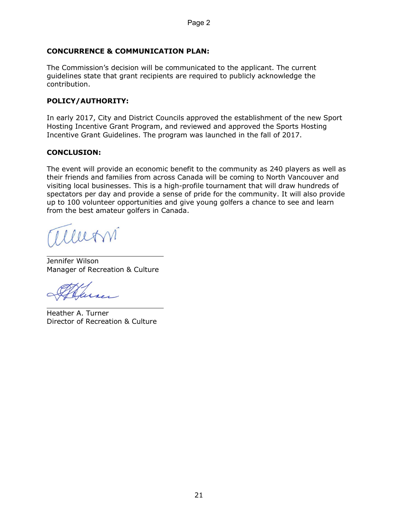# **CONCURRENCE & COMMUNICATION PLAN:**

The Commission's decision will be communicated to the applicant. The current guidelines state that grant recipients are required to publicly acknowledge the contribution.

# **POLICY/AUTHORITY:**

In early 2017, City and District Councils approved the establishment of the new Sport Hosting Incentive Grant Program, and reviewed and approved the Sports Hosting Incentive Grant Guidelines. The program was launched in the fall of 2017.

# **CONCLUSION:**

The event will provide an economic benefit to the community as 240 players as well as their friends and families from across Canada will be coming to North Vancouver and visiting local businesses. This is a high-profile tournament that will draw hundreds of spectators per day and provide a sense of pride for the community. It will also provide up to 100 volunteer opportunities and give young golfers a chance to see and learn from the best amateur golfers in Canada.

allern

 $\overline{a}$ Jennifer Wilson Manager of Recreation & Culture

 $\overline{a}$ Heather A. Turner Director of Recreation & Culture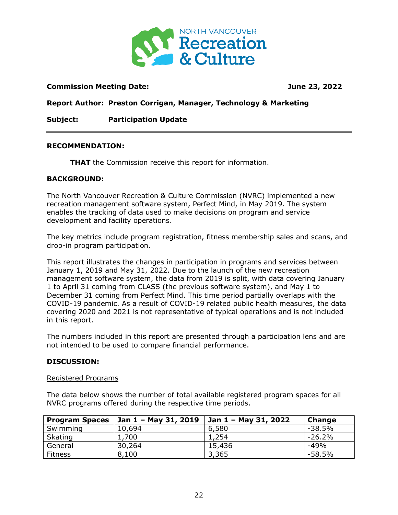

# **Commission Meeting Date: June 23, 2022**

**Report Author: Preston Corrigan, Manager, Technology & Marketing** 

**Subject: Participation Update**

## **RECOMMENDATION:**

**THAT** the Commission receive this report for information.

## **BACKGROUND:**

The North Vancouver Recreation & Culture Commission (NVRC) implemented a new recreation management software system, Perfect Mind, in May 2019. The system enables the tracking of data used to make decisions on program and service development and facility operations.

The key metrics include program registration, fitness membership sales and scans, and drop-in program participation.

This report illustrates the changes in participation in programs and services between January 1, 2019 and May 31, 2022. Due to the launch of the new recreation management software system, the data from 2019 is split, with data covering January 1 to April 31 coming from CLASS (the previous software system), and May 1 to December 31 coming from Perfect Mind. This time period partially overlaps with the COVID-19 pandemic. As a result of COVID-19 related public health measures, the data covering 2020 and 2021 is not representative of typical operations and is not included in this report.

The numbers included in this report are presented through a participation lens and are not intended to be used to compare financial performance.

## **DISCUSSION:**

## Registered Programs

The data below shows the number of total available registered program spaces for all NVRC programs offered during the respective time periods.

| <b>Program Spaces</b> | 31, 2019 | Jan 1 - May 31, 2022 | <b>Change</b> |
|-----------------------|----------|----------------------|---------------|
| Swimming              | 10,694   | 6,580                | $-38.5%$      |
| Skating               | 1,700    | 1,254                | $-26.2%$      |
| General               | 30,264   | 15,436               | $-49%$        |
| <b>Fitness</b>        | 8,100    | 3,365                | -58.5%        |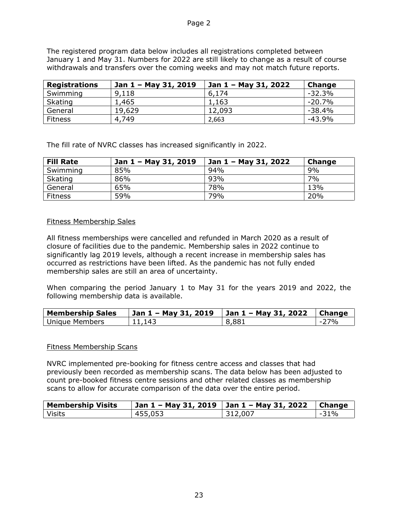The registered program data below includes all registrations completed between January 1 and May 31. Numbers for 2022 are still likely to change as a result of course withdrawals and transfers over the coming weeks and may not match future reports.

| <b>Registrations</b> | Jan 1 - May 31, 2019 | ' Jan 1 – May 31, 2022 | Change   |
|----------------------|----------------------|------------------------|----------|
| Swimming             | 9,118                | 6,174                  | $-32.3%$ |
| <b>Skating</b>       | 1,465                | 1,163                  | $-20.7%$ |
| General              | 19,629               | 12,093                 | $-38.4%$ |
| <b>Fitness</b>       | 4,749                | 2,663                  | $-43.9%$ |

The fill rate of NVRC classes has increased significantly in 2022.

| <b>Fill Rate</b> | Jan 1 - May 31, 2019 | Jan 1 - May 31, 2022 | Change |
|------------------|----------------------|----------------------|--------|
| Swimming         | 85%                  | 94%                  | 9%     |
| <b>Skating</b>   | 86%                  | 93%                  | 7%     |
| General          | 65%                  | 78%                  | 13%    |
| <b>Fitness</b>   | 59%                  | 79%                  | 20%    |

# Fitness Membership Sales

All fitness memberships were cancelled and refunded in March 2020 as a result of closure of facilities due to the pandemic. Membership sales in 2022 continue to significantly lag 2019 levels, although a recent increase in membership sales has occurred as restrictions have been lifted. As the pandemic has not fully ended membership sales are still an area of uncertainty.

When comparing the period January 1 to May 31 for the years 2019 and 2022, the following membership data is available.

| <b>Membership Sales</b> | Jan 1 - May 31, 2019 | 31, 2022 | <b>Change</b> |
|-------------------------|----------------------|----------|---------------|
| Unique Members          | 11.143               | 8,881    | <b>77%</b>    |

# Fitness Membership Scans

NVRC implemented pre-booking for fitness centre access and classes that had previously been recorded as membership scans. The data below has been adjusted to count pre-booked fitness centre sessions and other related classes as membership scans to allow for accurate comparison of the data over the entire period.

| <b>Membership Visits</b> | Jan $1 -$ May 31, 2019 | Jan 1 - May 31, 2022 | <b>Change</b>                   |
|--------------------------|------------------------|----------------------|---------------------------------|
| <b>Visits</b>            | 455,053                | 312,007              | 31%<br>$\overline{\phantom{a}}$ |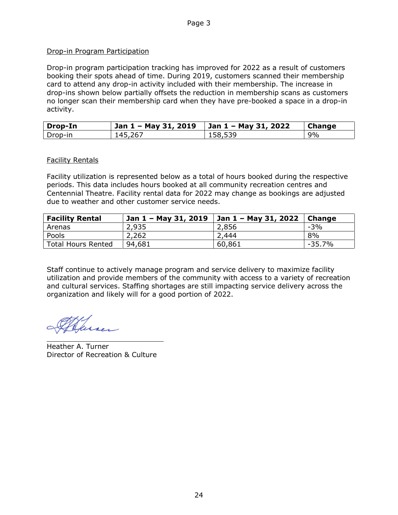# Drop-in Program Participation

Drop-in program participation tracking has improved for 2022 as a result of customers booking their spots ahead of time. During 2019, customers scanned their membership card to attend any drop-in activity included with their membership. The increase in drop-ins shown below partially offsets the reduction in membership scans as customers no longer scan their membership card when they have pre-booked a space in a drop-in activity.

| Drop-In | Jan 1 - May 31, 2019 | Jan 1 - May 31, 2022 | <b>Change</b> |
|---------|----------------------|----------------------|---------------|
| Drop-in | 145,267              | 158,539              | 9%            |

## Facility Rentals

Facility utilization is represented below as a total of hours booked during the respective periods. This data includes hours booked at all community recreation centres and Centennial Theatre. Facility rental data for 2022 may change as bookings are adjusted due to weather and other customer service needs.

| <b>Facility Rental</b>    | Jan 1 - May 31, 2019 | Jan 1 – May 31, 2022 | Change    |
|---------------------------|----------------------|----------------------|-----------|
| Arenas                    | 2,935                | 2,856                | $-3%$     |
| Pools                     | 2,262                | 2,444                | 8%        |
| <b>Total Hours Rented</b> | 94,681               | 60,861               | $-35.7\%$ |

Staff continue to actively manage program and service delivery to maximize facility utilization and provide members of the community with access to a variety of recreation and cultural services. Staffing shortages are still impacting service delivery across the organization and likely will for a good portion of 2022.

 $\overline{a}$ 

Heather A. Turner Director of Recreation & Culture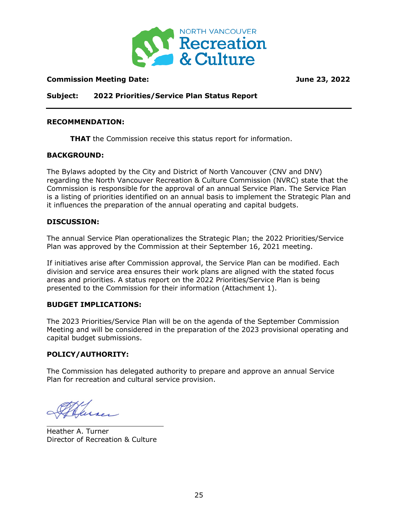

# **Commission Meeting Date: June 23, 2022**

**Subject: 2022 Priorities/Service Plan Status Report**

#### **RECOMMENDATION:**

**THAT** the Commission receive this status report for information.

#### **BACKGROUND:**

The Bylaws adopted by the City and District of North Vancouver (CNV and DNV) regarding the North Vancouver Recreation & Culture Commission (NVRC) state that the Commission is responsible for the approval of an annual Service Plan. The Service Plan is a listing of priorities identified on an annual basis to implement the Strategic Plan and it influences the preparation of the annual operating and capital budgets.

#### **DISCUSSION:**

The annual Service Plan operationalizes the Strategic Plan; the 2022 Priorities/Service Plan was approved by the Commission at their September 16, 2021 meeting.

If initiatives arise after Commission approval, the Service Plan can be modified. Each division and service area ensures their work plans are aligned with the stated focus areas and priorities. A status report on the 2022 Priorities/Service Plan is being presented to the Commission for their information (Attachment 1).

## **BUDGET IMPLICATIONS:**

The 2023 Priorities/Service Plan will be on the agenda of the September Commission Meeting and will be considered in the preparation of the 2023 provisional operating and capital budget submissions.

## **POLICY/AUTHORITY:**

The Commission has delegated authority to prepare and approve an annual Service Plan for recreation and cultural service provision.

 $\overline{a}$ 

Heather A. Turner Director of Recreation & Culture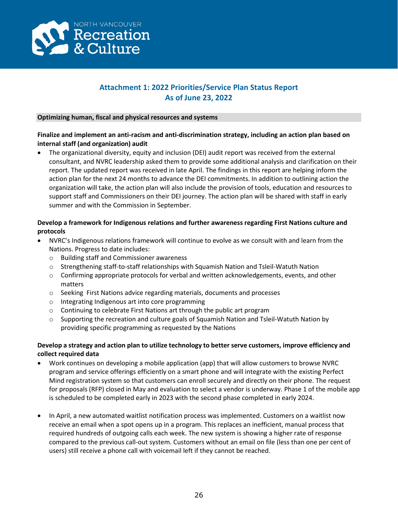

# **Attachment 1: 2022 Priorities/Service Plan Status Report As of June 23, 2022**

#### **Optimizing human, fiscal and physical resources and systems**

# **Finalize and implement an anti-racism and anti-discrimination strategy, including an action plan based on internal staff (and organization) audit**

• The organizational diversity, equity and inclusion (DEI) audit report was received from the external consultant, and NVRC leadership asked them to provide some additional analysis and clarification on their report. The updated report was received in late April. The findings in this report are helping inform the action plan for the next 24 months to advance the DEI commitments. In addition to outlining action the organization will take, the action plan will also include the provision of tools, education and resources to support staff and Commissioners on their DEI journey. The action plan will be shared with staff in early summer and with the Commission in September.

# **Develop a framework for Indigenous relations and further awareness regarding First Nations culture and protocols**

- NVRC's Indigenous relations framework will continue to evolve as we consult with and learn from the Nations. Progress to date includes:
	- o Building staff and Commissioner awareness
	- o Strengthening staff-to-staff relationships with Squamish Nation and Tsleil-Watuth Nation
	- $\circ$  Confirming appropriate protocols for verbal and written acknowledgements, events, and other matters
	- o Seeking First Nations advice regarding materials, documents and processes
	- o Integrating Indigenous art into core programming
	- o Continuing to celebrate First Nations art through the public art program
	- $\circ$  Supporting the recreation and culture goals of Squamish Nation and Tsleil-Watuth Nation by providing specific programming as requested by the Nations

## **Develop a strategy and action plan to utilize technology to better serve customers, improve efficiency and collect required data**

- Work continues on developing a mobile application (app) that will allow customers to browse NVRC program and service offerings efficiently on a smart phone and will integrate with the existing Perfect Mind registration system so that customers can enroll securely and directly on their phone. The request for proposals (RFP) closed in May and evaluation to select a vendor is underway. Phase 1 of the mobile app is scheduled to be completed early in 2023 with the second phase completed in early 2024.
- In April, a new automated waitlist notification process was implemented. Customers on a waitlist now receive an email when a spot opens up in a program. This replaces an inefficient, manual process that required hundreds of outgoing calls each week. The new system is showing a higher rate of response compared to the previous call-out system. Customers without an email on file (less than one per cent of users) still receive a phone call with voicemail left if they cannot be reached.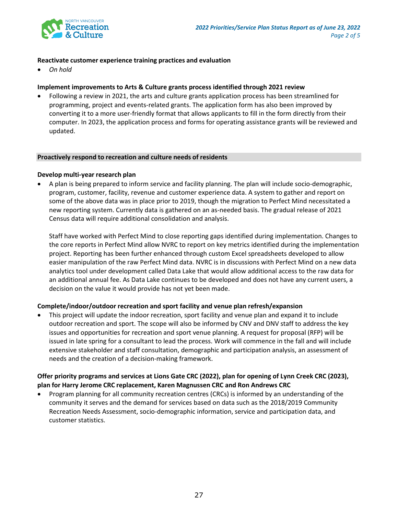

#### **Reactivate customer experience training practices and evaluation**

• *On hold*

#### **Implement improvements to Arts & Culture grants process identified through 2021 review**

• Following a review in 2021, the arts and culture grants application process has been streamlined for programming, project and events-related grants. The application form has also been improved by converting it to a more user-friendly format that allows applicants to fill in the form directly from their computer. In 2023, the application process and forms for operating assistance grants will be reviewed and updated.

#### **Proactively respond to recreation and culture needs of residents**

#### **Develop multi-year research plan**

• A plan is being prepared to inform service and facility planning. The plan will include socio-demographic, program, customer, facility, revenue and customer experience data. A system to gather and report on some of the above data was in place prior to 2019, though the migration to Perfect Mind necessitated a new reporting system. Currently data is gathered on an as-needed basis. The gradual release of 2021 Census data will require additional consolidation and analysis.

Staff have worked with Perfect Mind to close reporting gaps identified during implementation. Changes to the core reports in Perfect Mind allow NVRC to report on key metrics identified during the implementation project. Reporting has been further enhanced through custom Excel spreadsheets developed to allow easier manipulation of the raw Perfect Mind data. NVRC is in discussions with Perfect Mind on a new data analytics tool under development called Data Lake that would allow additional access to the raw data for an additional annual fee. As Data Lake continues to be developed and does not have any current users, a decision on the value it would provide has not yet been made.

## **Complete/indoor/outdoor recreation and sport facility and venue plan refresh/expansion**

• This project will update the indoor recreation, sport facility and venue plan and expand it to include outdoor recreation and sport. The scope will also be informed by CNV and DNV staff to address the key issues and opportunities for recreation and sport venue planning. A request for proposal (RFP) will be issued in late spring for a consultant to lead the process. Work will commence in the fall and will include extensive stakeholder and staff consultation, demographic and participation analysis, an assessment of needs and the creation of a decision-making framework.

## **Offer priority programs and services at Lions Gate CRC (2022), plan for opening of Lynn Creek CRC (2023), plan for Harry Jerome CRC replacement, Karen Magnussen CRC and Ron Andrews CRC**

• Program planning for all community recreation centres (CRCs) is informed by an understanding of the community it serves and the demand for services based on data such as the 2018/2019 Community Recreation Needs Assessment, socio-demographic information, service and participation data, and customer statistics.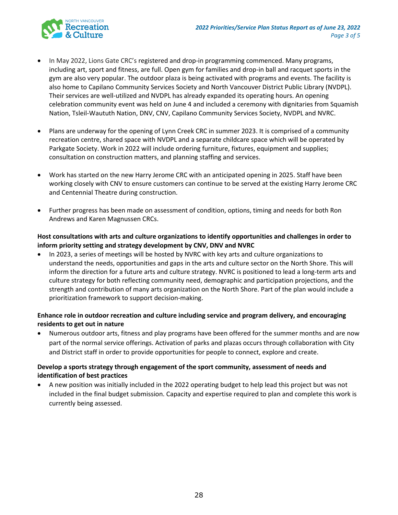

- In May 2022, Lions Gate CRC's registered and drop-in programming commenced. Many programs, including art, sport and fitness, are full. Open gym for families and drop-in ball and racquet sports in the gym are also very popular. The outdoor plaza is being activated with programs and events. The facility is also home to Capilano Community Services Society and North Vancouver District Public Library (NVDPL). Their services are well-utilized and NVDPL has already expanded its operating hours. An opening celebration community event was held on June 4 and included a ceremony with dignitaries from Squamish Nation, Tsleil-Waututh Nation, DNV, CNV, Capilano Community Services Society, NVDPL and NVRC.
- Plans are underway for the opening of Lynn Creek CRC in summer 2023. It is comprised of a community recreation centre, shared space with NVDPL and a separate childcare space which will be operated by Parkgate Society. Work in 2022 will include ordering furniture, fixtures, equipment and supplies; consultation on construction matters, and planning staffing and services.
- Work has started on the new Harry Jerome CRC with an anticipated opening in 2025. Staff have been working closely with CNV to ensure customers can continue to be served at the existing Harry Jerome CRC and Centennial Theatre during construction.
- Further progress has been made on assessment of condition, options, timing and needs for both Ron Andrews and Karen Magnussen CRCs.

## **Host consultations with arts and culture organizations to identify opportunities and challenges in order to inform priority setting and strategy development by CNV, DNV and NVRC**

• In 2023, a series of meetings will be hosted by NVRC with key arts and culture organizations to understand the needs, opportunities and gaps in the arts and culture sector on the North Shore. This will inform the direction for a future arts and culture strategy. NVRC is positioned to lead a long-term arts and culture strategy for both reflecting community need, demographic and participation projections, and the strength and contribution of many arts organization on the North Shore. Part of the plan would include a prioritization framework to support decision-making.

# **Enhance role in outdoor recreation and culture including service and program delivery, and encouraging residents to get out in nature**

• Numerous outdoor arts, fitness and play programs have been offered for the summer months and are now part of the normal service offerings. Activation of parks and plazas occurs through collaboration with City and District staff in order to provide opportunities for people to connect, explore and create.

## **Develop a sports strategy through engagement of the sport community, assessment of needs and identification of best practices**

• A new position was initially included in the 2022 operating budget to help lead this project but was not included in the final budget submission. Capacity and expertise required to plan and complete this work is currently being assessed.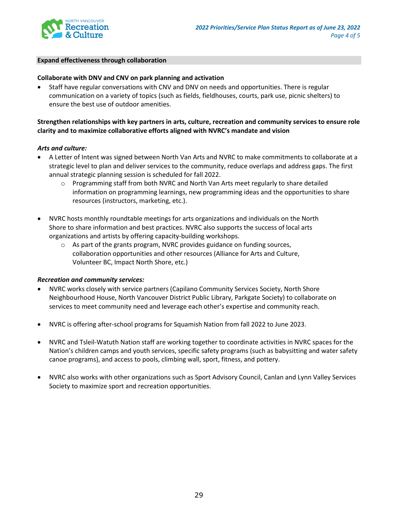

#### **Expand effectiveness through collaboration**

#### **Collaborate with DNV and CNV on park planning and activation**

• Staff have regular conversations with CNV and DNV on needs and opportunities. There is regular communication on a variety of topics (such as fields, fieldhouses, courts, park use, picnic shelters) to ensure the best use of outdoor amenities.

## **Strengthen relationships with key partners in arts, culture, recreation and community services to ensure role clarity and to maximize collaborative efforts aligned with NVRC's mandate and vision**

#### *Arts and culture:*

- A Letter of Intent was signed between North Van Arts and NVRC to make commitments to collaborate at a strategic level to plan and deliver services to the community, reduce overlaps and address gaps. The first annual strategic planning session is scheduled for fall 2022.
	- $\circ$  Programming staff from both NVRC and North Van Arts meet regularly to share detailed information on programming learnings, new programming ideas and the opportunities to share resources (instructors, marketing, etc.).
- NVRC hosts monthly roundtable meetings for arts organizations and individuals on the North Shore to share information and best practices. NVRC also supports the success of local arts organizations and artists by offering capacity-building workshops.
	- $\circ$  As part of the grants program, NVRC provides guidance on funding sources, collaboration opportunities and other resources (Alliance for Arts and Culture, Volunteer BC, Impact North Shore, etc.)

#### *Recreation and community services:*

- NVRC works closely with service partners (Capilano Community Services Society, North Shore Neighbourhood House, North Vancouver District Public Library, Parkgate Society) to collaborate on services to meet community need and leverage each other's expertise and community reach.
- NVRC is offering after-school programs for Squamish Nation from fall 2022 to June 2023.
- NVRC and Tsleil-Watuth Nation staff are working together to coordinate activities in NVRC spaces for the Nation's children camps and youth services, specific safety programs (such as babysitting and water safety canoe programs), and access to pools, climbing wall, sport, fitness, and pottery.
- NVRC also works with other organizations such as Sport Advisory Council, Canlan and Lynn Valley Services Society to maximize sport and recreation opportunities.